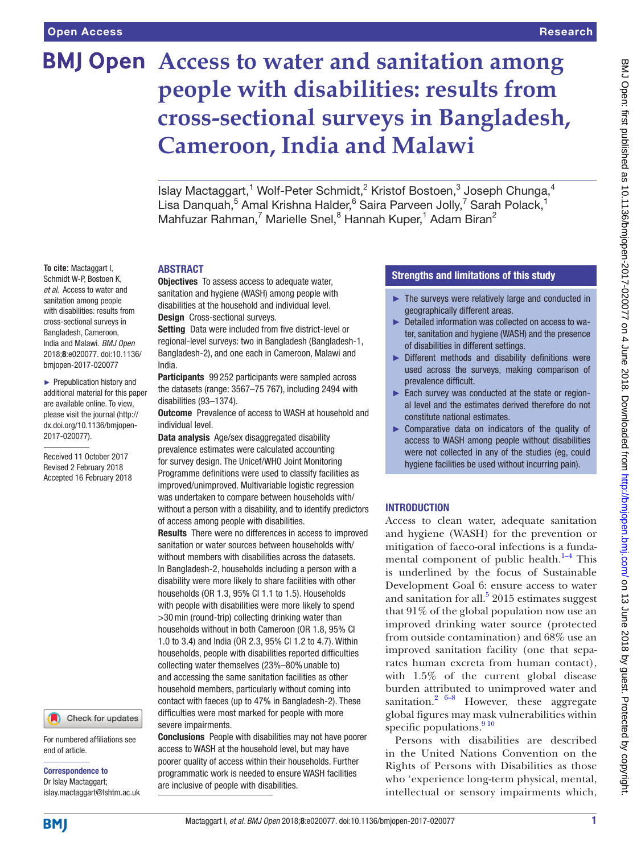**To cite:** Mactaggart I, Schmidt W-P, Bostoen K, *et al*. Access to water and sanitation among people with disabilities: results from cross-sectional surveys in Bangladesh, Cameroon, India and Malawi. *BMJ Open* 2018;8:e020077. doi:10.1136/ bmjopen-2017-020077 ► Prepublication history and additional material for this paper are available online. To view, please visit the journal ([http://](http://dx.doi.org/10.1136/bmjopen-2017-020077) [dx.doi.org/10.1136/bmjopen-](http://dx.doi.org/10.1136/bmjopen-2017-020077)

[2017-020077\)](http://dx.doi.org/10.1136/bmjopen-2017-020077).

Received 11 October 2017 Revised 2 February 2018 Accepted 16 February 2018

# **BMJ Open** Access to water and sanitation among **people with disabilities: results from cross-sectional surveys in Bangladesh, Cameroon, India and Malawi**

Islay Mactaggart,<sup>1</sup> Wolf-Peter Schmidt,<sup>2</sup> Kristof Bostoen,<sup>3</sup> Joseph Chunga,<sup>4</sup> Lisa Danquah,<sup>5</sup> Amal Krishna Halder,<sup>6</sup> Saira Parveen Jolly,<sup>7</sup> Sarah Polack,<sup>1</sup> Mahfuzar Rahman,<sup>7</sup> Marielle Snel,<sup>8</sup> Hannah Kuper,<sup>1</sup> Adam Biran<sup>2</sup>

# **ABSTRACT**

**Objectives** To assess access to adequate water, sanitation and hygiene (WASH) among people with disabilities at the household and individual level. Design Cross-sectional surveys. Setting Data were included from five district-level or

regional-level surveys: two in Bangladesh (Bangladesh-1, Bangladesh-2), and one each in Cameroon, Malawi and India.

Participants 99 252 participants were sampled across the datasets (range: 3567–75 767), including 2494 with disabilities (93–1374).

**Outcome** Prevalence of access to WASH at household and individual level.

Data analysis Age/sex disaggregated disability prevalence estimates were calculated accounting for survey design. The Unicef/WHO Joint Monitoring Programme definitions were used to classify facilities as improved/unimproved. Multivariable logistic regression was undertaken to compare between households with/ without a person with a disability, and to identify predictors of access among people with disabilities.

Results There were no differences in access to improved sanitation or water sources between households with/ without members with disabilities across the datasets. In Bangladesh-2, households including a person with a disability were more likely to share facilities with other households (OR 1.3, 95% CI 1.1 to 1.5). Households with people with disabilities were more likely to spend >30min (round-trip) collecting drinking water than households without in both Cameroon (OR 1.8, 95% CI 1.0 to 3.4) and India (OR 2.3, 95% CI 1.2 to 4.7). Within households, people with disabilities reported difficulties collecting water themselves (23%–80%unable to) and accessing the same sanitation facilities as other household members, particularly without coming into contact with faeces (up to 47% in Bangladesh-2). These difficulties were most marked for people with more severe impairments.

Conclusions People with disabilities may not have poorer access to WASH at the household level, but may have poorer quality of access within their households. Further programmatic work is needed to ensure WASH facilities are inclusive of people with disabilities.

# Strengths and limitations of this study

- $\blacktriangleright$  The surveys were relatively large and conducted in geographically different areas.
- ► Detailed information was collected on access to water, sanitation and hygiene (WASH) and the presence of disabilities in different settings.
- ► Different methods and disability definitions were used across the surveys, making comparison of prevalence difficult.
- ► Each survey was conducted at the state or regional level and the estimates derived therefore do not constitute national estimates.
- ► Comparative data on indicators of the quality of access to WASH among people without disabilities were not collected in any of the studies (eg, could hygiene facilities be used without incurring pain).

# **INTRODUCTION**

Access to clean water, adequate sanitation and hygiene (WASH) for the prevention or mitigation of faeco-oral infections is a fundamental component of public health. $1-4$  This is underlined by the focus of Sustainable Development Goal 6: ensure access to water and sanitation for all.<sup>5</sup> 2015 estimates suggest that 91% of the global population now use an improved drinking water source (protected from outside contamination) and 68% use an improved sanitation facility (one that separates human excreta from human contact), with 1.5% of the current global disease burden attributed to unimproved water and sanitation.<sup>[2 6–8](#page-11-2)</sup> However, these aggregate global figures may mask vulnerabilities within specific populations.<sup>910</sup>

Persons with disabilities are described in the United Nations Convention on the Rights of Persons with Disabilities as those who 'experience long-term physical, mental, intellectual or sensory impairments which,

**BMI** 

end of article.

Correspondence to Dr Islay Mactaggart; islay.mactaggart@lshtm.ac.uk

For numbered affiliations see

Check for updates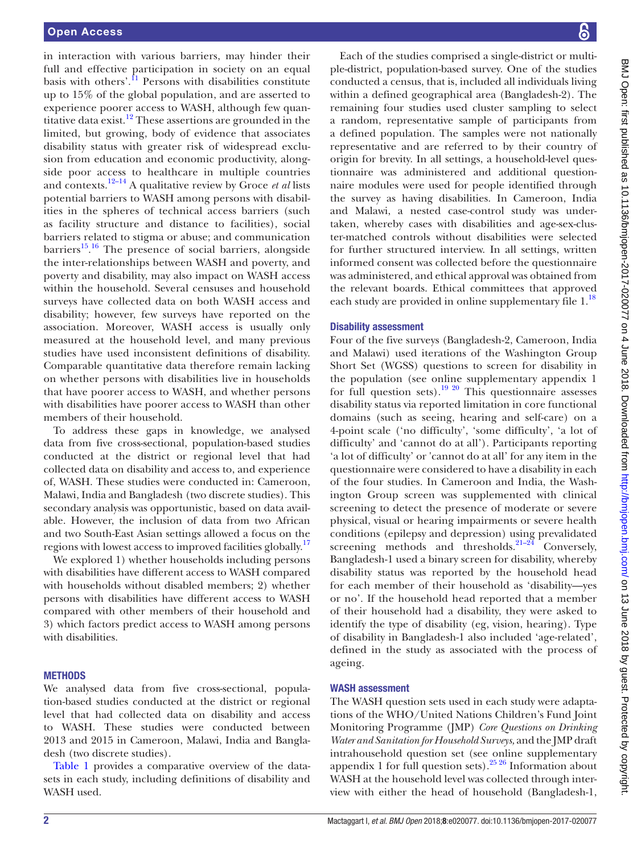in interaction with various barriers, may hinder their full and effective participation in society on an equal basis with others'. $^{11}$  Persons with disabilities constitute up to 15% of the global population, and are asserted to experience poorer access to WASH, although few quantitative data exist.[12](#page-11-5) These assertions are grounded in the limited, but growing, body of evidence that associates disability status with greater risk of widespread exclusion from education and economic productivity, alongside poor access to healthcare in multiple countries and contexts.[12–14](#page-11-5) A qualitative review by Groce *et al* lists potential barriers to WASH among persons with disabilities in the spheres of technical access barriers (such as facility structure and distance to facilities), social barriers related to stigma or abuse; and communication barriers<sup>[15](#page-11-6)</sup>.<sup>16</sup> The presence of social barriers, alongside the inter-relationships between WASH and poverty, and poverty and disability, may also impact on WASH access within the household. Several censuses and household surveys have collected data on both WASH access and disability; however, few surveys have reported on the association. Moreover, WASH access is usually only measured at the household level, and many previous studies have used inconsistent definitions of disability. Comparable quantitative data therefore remain lacking on whether persons with disabilities live in households that have poorer access to WASH, and whether persons with disabilities have poorer access to WASH than other members of their household.

To address these gaps in knowledge, we analysed data from five cross-sectional, population-based studies conducted at the district or regional level that had collected data on disability and access to, and experience of, WASH. These studies were conducted in: Cameroon, Malawi, India and Bangladesh (two discrete studies). This secondary analysis was opportunistic, based on data available. However, the inclusion of data from two African and two South-East Asian settings allowed a focus on the regions with lowest access to improved facilities globally.<sup>17</sup>

We explored 1) whether households including persons with disabilities have different access to WASH compared with households without disabled members; 2) whether persons with disabilities have different access to WASH compared with other members of their household and 3) which factors predict access to WASH among persons with disabilities.

# **METHODS**

We analysed data from five cross-sectional, population-based studies conducted at the district or regional level that had collected data on disability and access to WASH. These studies were conducted between 2013 and 2015 in Cameroon, Malawi, India and Bangladesh (two discrete studies).

[Table](#page-2-0) 1 provides a comparative overview of the datasets in each study, including definitions of disability and WASH used.

Each of the studies comprised a single-district or multiple-district, population-based survey. One of the studies conducted a census, that is, included all individuals living within a defined geographical area (Bangladesh-2). The remaining four studies used cluster sampling to select a random, representative sample of participants from a defined population. The samples were not nationally representative and are referred to by their country of origin for brevity. In all settings, a household-level questionnaire was administered and additional questionnaire modules were used for people identified through the survey as having disabilities. In Cameroon, India and Malawi, a nested case-control study was undertaken, whereby cases with disabilities and age-sex-cluster-matched controls without disabilities were selected for further structured interview. In all settings, written informed consent was collected before the questionnaire was administered, and ethical approval was obtained from the relevant boards. Ethical committees that approved each study are provided in online [supplementary file 1](https://dx.doi.org/10.1136/bmjopen-2017-020077).<sup>[18](#page-11-9)</sup>

#### Disability assessment

Four of the five surveys (Bangladesh-2, Cameroon, India and Malawi) used iterations of the Washington Group Short Set (WGSS) questions to screen for disability in the population (see online [supplementary appendix 1](https://dx.doi.org/10.1136/bmjopen-2017-020077)  for full question sets).<sup>[19 20](#page-11-10)</sup> This questionnaire assesses disability status via reported limitation in core functional domains (such as seeing, hearing and self-care) on a 4-point scale ('no difficulty', 'some difficulty', 'a lot of difficulty' and 'cannot do at all'). Participants reporting 'a lot of difficulty' or 'cannot do at all' for any item in the questionnaire were considered to have a disability in each of the four studies. In Cameroon and India, the Washington Group screen was supplemented with clinical screening to detect the presence of moderate or severe physical, visual or hearing impairments or severe health conditions (epilepsy and depression) using prevalidated screening methods and thresholds. $21-24$  Conversely, Bangladesh-1 used a binary screen for disability, whereby disability status was reported by the household head for each member of their household as 'disability—yes or no'. If the household head reported that a member of their household had a disability, they were asked to identify the type of disability (eg, vision, hearing). Type of disability in Bangladesh-1 also included 'age-related', defined in the study as associated with the process of ageing.

#### WASH assessment

The WASH question sets used in each study were adaptations of the WHO/United Nations Children's Fund Joint Monitoring Programme (JMP) *Core Questions on Drinking Water and Sanitation for Household Surveys,* and the JMP draft intrahousehold question set (see online [supplementary](https://dx.doi.org/10.1136/bmjopen-2017-020077)  [appendix 1](https://dx.doi.org/10.1136/bmjopen-2017-020077) for full question sets).<sup>25 26</sup> Information about WASH at the household level was collected through interview with either the head of household (Bangladesh-1,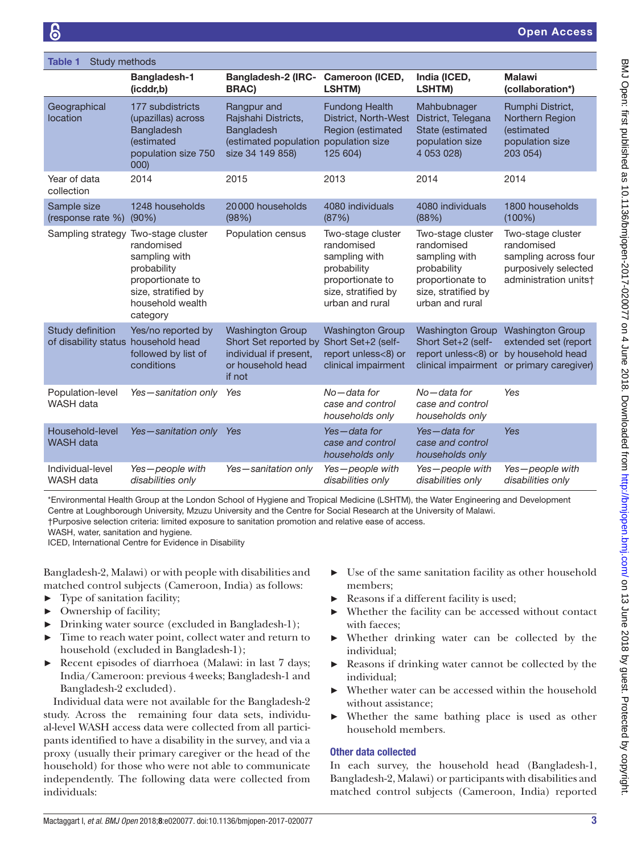<span id="page-2-0"></span>

| <b>Table 1</b><br>Study methods          |                                                                                                                                                              |                                                                                                           |                                                                                                                               |                                                                                                                               |                                                                                                          |
|------------------------------------------|--------------------------------------------------------------------------------------------------------------------------------------------------------------|-----------------------------------------------------------------------------------------------------------|-------------------------------------------------------------------------------------------------------------------------------|-------------------------------------------------------------------------------------------------------------------------------|----------------------------------------------------------------------------------------------------------|
|                                          | <b>Bangladesh-1</b><br>(icddr,b)                                                                                                                             | <b>Bangladesh-2 (IRC-</b><br><b>BRAC)</b>                                                                 | <b>Cameroon (ICED,</b><br>LSHTM)                                                                                              | India (ICED,<br>LSHTM)                                                                                                        | <b>Malawi</b><br>(collaboration*)                                                                        |
| Geographical<br>location                 | 177 subdistricts<br>(upazillas) across<br>Bangladesh<br><i>(estimated)</i><br>population size 750<br>000)                                                    | Rangpur and<br>Rajshahi Districts,<br>Bangladesh<br>(estimated population<br>size 34 149 858)             | <b>Fundong Health</b><br>District, North-West<br>Region (estimated<br>population size<br>125 604)                             | Mahbubnager<br>District, Telegana<br>State (estimated<br>population size<br>4 053 028)                                        | Rumphi District,<br>Northern Region<br><i>(estimated</i><br>population size<br>203 054)                  |
| Year of data<br>collection               | 2014                                                                                                                                                         | 2015                                                                                                      | 2013                                                                                                                          | 2014                                                                                                                          | 2014                                                                                                     |
| Sample size<br>(response rate %)         | 1248 households<br>$(90\%)$                                                                                                                                  | 20000 households<br>(98%)                                                                                 | 4080 individuals<br>(87%)                                                                                                     | 4080 individuals<br>(88%)                                                                                                     | 1800 households<br>(100%)                                                                                |
|                                          | Sampling strategy Two-stage cluster<br>randomised<br>sampling with<br>probability<br>proportionate to<br>size, stratified by<br>household wealth<br>category | Population census                                                                                         | Two-stage cluster<br>randomised<br>sampling with<br>probability<br>proportionate to<br>size, stratified by<br>urban and rural | Two-stage cluster<br>randomised<br>sampling with<br>probability<br>proportionate to<br>size, stratified by<br>urban and rural | Two-stage cluster<br>randomised<br>sampling across four<br>purposively selected<br>administration unitst |
| Study definition<br>of disability status | Yes/no reported by<br>household head<br>followed by list of<br>conditions                                                                                    | <b>Washington Group</b><br>Short Set reported by<br>individual if present,<br>or household head<br>if not | <b>Washington Group</b><br>Short Set+2 (self-<br>report unless<8) or<br>clinical impairment                                   | <b>Washington Group</b><br>Short Set+2 (self-<br>report unless<8) or<br>clinical impairment                                   | <b>Washington Group</b><br>extended set (report<br>by household head<br>or primary caregiver)            |
| Population-level<br><b>WASH</b> data     | Yes-sanitation only                                                                                                                                          | Yes                                                                                                       | $No$ -data for<br>case and control<br>households only                                                                         | $No$ -data for<br>case and control<br>households only                                                                         | Yes                                                                                                      |
| Household-level<br><b>WASH</b> data      | Yes-sanitation only                                                                                                                                          | Yes                                                                                                       | Yes-data for<br>case and control<br>households only                                                                           | Yes-data for<br>case and control<br>households only                                                                           | Yes                                                                                                      |
| Individual-level<br><b>WASH</b> data     | Yes-people with<br>disabilities only                                                                                                                         | Yes-sanitation only                                                                                       | Yes-people with<br>disabilities only                                                                                          | Yes-people with<br>disabilities only                                                                                          | Yes-people with<br>disabilities only                                                                     |

\*Environmental Health Group at the London School of Hygiene and Tropical Medicine (LSHTM), the Water Engineering and Development Centre at Loughborough University, Mzuzu University and the Centre for Social Research at the University of Malawi. †Purposive selection criteria: limited exposure to sanitation promotion and relative ease of access.

WASH, water, sanitation and hygiene.

ICED, International Centre for Evidence in Disability

Bangladesh-2, Malawi) or with people with disabilities and matched control subjects (Cameroon, India) as follows:

- $\blacktriangleright$  Type of sanitation facility;
- Ownership of facility;
- ► Drinking water source (excluded in Bangladesh-1);
- ► Time to reach water point, collect water and return to household (excluded in Bangladesh-1);
- Recent episodes of diarrhoea (Malawi: in last 7 days; India/Cameroon: previous 4weeks; Bangladesh-1 and Bangladesh-2 excluded).

Individual data were not available for the Bangladesh-2 study. Across the remaining four data sets, individual-level WASH access data were collected from all participants identified to have a disability in the survey, and via a proxy (usually their primary caregiver or the head of the household) for those who were not able to communicate independently. The following data were collected from individuals:

- ► Use of the same sanitation facility as other household members;
- ► Reasons if a different facility is used;
- Whether the facility can be accessed without contact with faeces;
- Whether drinking water can be collected by the individual;
- Reasons if drinking water cannot be collected by the individual;
- Whether water can be accessed within the household without assistance;
- Whether the same bathing place is used as other household members.

# Other data collected

In each survey, the household head (Bangladesh-1, Bangladesh-2, Malawi) or participants with disabilities and matched control subjects (Cameroon, India) reported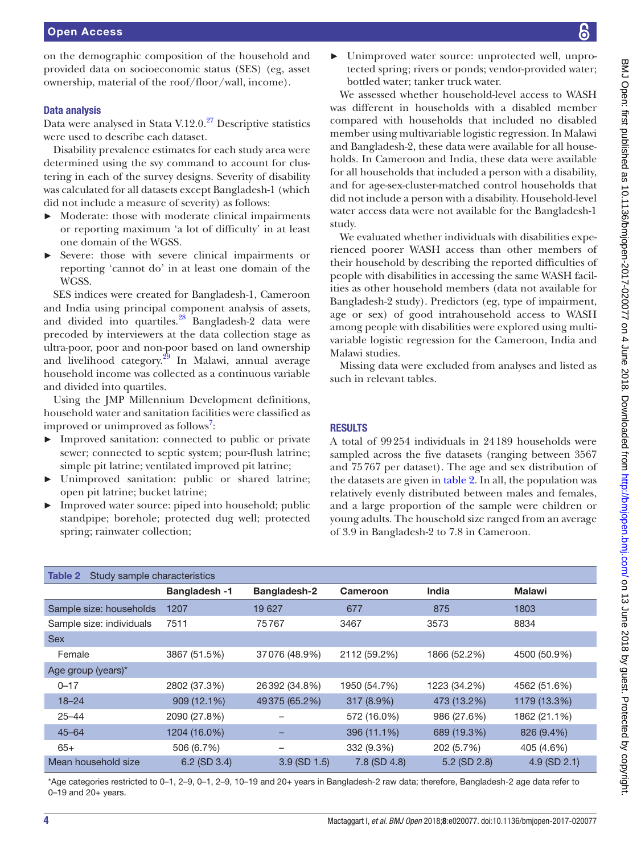on the demographic composition of the household and provided data on socioeconomic status (SES) (eg, asset ownership, material of the roof/floor/wall, income).

# Data analysis

Data were analysed in Stata V.12.0. $^{27}$  Descriptive statistics were used to describe each dataset.

Disability prevalence estimates for each study area were determined using the svy command to account for clustering in each of the survey designs. Severity of disability was calculated for all datasets except Bangladesh-1 (which did not include a measure of severity) as follows:

- Moderate: those with moderate clinical impairments or reporting maximum 'a lot of difficulty' in at least one domain of the WGSS.
- ► Severe: those with severe clinical impairments or reporting 'cannot do' in at least one domain of the WGSS.

SES indices were created for Bangladesh-1, Cameroon and India using principal component analysis of assets, and divided into quartiles.<sup>28</sup> Bangladesh-2 data were precoded by interviewers at the data collection stage as ultra-poor, poor and non-poor based on land ownership and livelihood category.<sup>29</sup> In Malawi, annual average household income was collected as a continuous variable and divided into quartiles.

Using the JMP Millennium Development definitions, household water and sanitation facilities were classified as improved or unimproved as follows<sup>[7](#page-11-11)</sup>:

- ► Improved sanitation: connected to public or private sewer; connected to septic system; pour-flush latrine; simple pit latrine; ventilated improved pit latrine;
- ► Unimproved sanitation: public or shared latrine; open pit latrine; bucket latrine;
- ► Improved water source: piped into household; public standpipe; borehole; protected dug well; protected spring; rainwater collection;

Unimproved water source: unprotected well, unprotected spring; rivers or ponds; vendor-provided water; bottled water; tanker truck water.

We assessed whether household-level access to WASH was different in households with a disabled member compared with households that included no disabled member using multivariable logistic regression. In Malawi and Bangladesh-2, these data were available for all households. In Cameroon and India, these data were available for all households that included a person with a disability, and for age-sex-cluster-matched control households that did not include a person with a disability. Household-level water access data were not available for the Bangladesh-1 study.

We evaluated whether individuals with disabilities experienced poorer WASH access than other members of their household by describing the reported difficulties of people with disabilities in accessing the same WASH facilities as other household members (data not available for Bangladesh-2 study). Predictors (eg, type of impairment, age or sex) of good intrahousehold access to WASH among people with disabilities were explored using multivariable logistic regression for the Cameroon, India and Malawi studies.

Missing data were excluded from analyses and listed as such in relevant tables.

# **RESULTS**

A total of 99254 individuals in 24189 households were sampled across the five datasets (ranging between 3567 and 75767 per dataset). The age and sex distribution of the datasets are given in [table](#page-3-0) 2. In all, the population was relatively evenly distributed between males and females, and a large proportion of the sample were children or young adults. The household size ranged from an average of 3.9 in Bangladesh-2 to 7.8 in Cameroon.

<span id="page-3-0"></span>

| Study sample characteristics<br>Table 2 |                     |                     |                 |              |                   |
|-----------------------------------------|---------------------|---------------------|-----------------|--------------|-------------------|
|                                         | <b>Bangladesh-1</b> | <b>Bangladesh-2</b> | <b>Cameroon</b> | India        | <b>Malawi</b>     |
| Sample size: households                 | 1207                | 19 627              | 677             | 875          | 1803              |
| Sample size: individuals                | 7511                | 75767               | 3467            | 3573         | 8834              |
| <b>Sex</b>                              |                     |                     |                 |              |                   |
| Female                                  | 3867 (51.5%)        | 37076 (48.9%)       | 2112 (59.2%)    | 1866 (52.2%) | 4500 (50.9%)      |
| Age group (years)*                      |                     |                     |                 |              |                   |
| $0 - 17$                                | 2802 (37.3%)        | 26392 (34.8%)       | 1950 (54.7%)    | 1223 (34.2%) | 4562 (51.6%)      |
| $18 - 24$                               | 909 (12.1%)         | 49375 (65.2%)       | 317 (8.9%)      | 473 (13.2%)  | 1179 (13.3%)      |
| $25 - 44$                               | 2090 (27.8%)        |                     | 572 (16.0%)     | 986 (27.6%)  | 1862 (21.1%)      |
| $45 - 64$                               | 1204 (16.0%)        |                     | 396 (11.1%)     | 689 (19.3%)  | 826 (9.4%)        |
| $65+$                                   | 506 (6.7%)          |                     | 332 (9.3%)      | 202 (5.7%)   | 405 (4.6%)        |
| Mean household size                     | $6.2$ (SD $3.4$ )   | $3.9$ (SD $1.5$ )   | 7.8 (SD 4.8)    | 5.2 (SD 2.8) | $4.9$ (SD $2.1$ ) |

\*Age categories restricted to 0–1, 2–9, 0–1, 2–9, 10–19 and 20+ years in Bangladesh-2 raw data; therefore, Bangladesh-2 age data refer to 0–19 and 20+ years.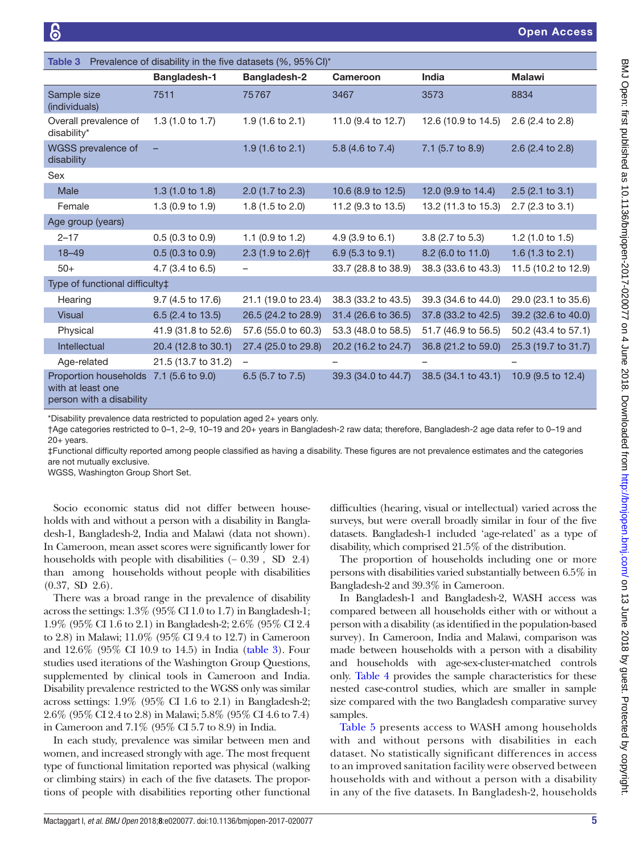<span id="page-4-0"></span>

| Table 3                                                                |                     | Prevalence of disability in the five datasets (%, 95% CI)* |                     |                     |                     |
|------------------------------------------------------------------------|---------------------|------------------------------------------------------------|---------------------|---------------------|---------------------|
|                                                                        | <b>Bangladesh-1</b> | <b>Bangladesh-2</b>                                        | <b>Cameroon</b>     | <b>India</b>        | <b>Malawi</b>       |
| Sample size<br>(individuals)                                           | 7511                | 75767                                                      | 3467                | 3573                | 8834                |
| Overall prevalence of<br>disability*                                   | 1.3 $(1.0 to 1.7)$  | $1.9(1.6 \text{ to } 2.1)$                                 | 11.0 (9.4 to 12.7)  | 12.6 (10.9 to 14.5) | 2.6 (2.4 to 2.8)    |
| WGSS prevalence of<br>disability                                       |                     | $1.9(1.6 \text{ to } 2.1)$                                 | 5.8 (4.6 to 7.4)    | 7.1 (5.7 to 8.9)    | 2.6 (2.4 to 2.8)    |
| <b>Sex</b>                                                             |                     |                                                            |                     |                     |                     |
| Male                                                                   | 1.3(1.0 to 1.8)     | 2.0 (1.7 to 2.3)                                           | 10.6 (8.9 to 12.5)  | 12.0 (9.9 to 14.4)  | $2.5$ (2.1 to 3.1)  |
| Female                                                                 | 1.3 (0.9 to 1.9)    | 1.8 (1.5 to 2.0)                                           | 11.2 (9.3 to 13.5)  | 13.2 (11.3 to 15.3) | 2.7 (2.3 to 3.1)    |
| Age group (years)                                                      |                     |                                                            |                     |                     |                     |
| $2 - 17$                                                               | $0.5$ (0.3 to 0.9)  | 1.1 (0.9 to 1.2)                                           | 4.9 (3.9 to 6.1)    | $3.8$ (2.7 to 5.3)  | 1.2 (1.0 to 1.5)    |
| $18 - 49$                                                              | 0.5(0.3 to 0.9)     | 2.3 (1.9 to 2.6) <sup>+</sup>                              | 6.9 (5.3 to 9.1)    | 8.2 (6.0 to 11.0)   | 1.6 $(1.3$ to 2.1)  |
| $50+$                                                                  | 4.7 (3.4 to 6.5)    | -                                                          | 33.7 (28.8 to 38.9) | 38.3 (33.6 to 43.3) | 11.5 (10.2 to 12.9) |
| Type of functional difficulty‡                                         |                     |                                                            |                     |                     |                     |
| Hearing                                                                | 9.7 (4.5 to 17.6)   | 21.1 (19.0 to 23.4)                                        | 38.3 (33.2 to 43.5) | 39.3 (34.6 to 44.0) | 29.0 (23.1 to 35.6) |
| <b>Visual</b>                                                          | 6.5 (2.4 to 13.5)   | 26.5 (24.2 to 28.9)                                        | 31.4 (26.6 to 36.5) | 37.8 (33.2 to 42.5) | 39.2 (32.6 to 40.0) |
| Physical                                                               | 41.9 (31.8 to 52.6) | 57.6 (55.0 to 60.3)                                        | 53.3 (48.0 to 58.5) | 51.7 (46.9 to 56.5) | 50.2 (43.4 to 57.1) |
| <b>Intellectual</b>                                                    | 20.4 (12.8 to 30.1) | 27.4 (25.0 to 29.8)                                        | 20.2 (16.2 to 24.7) | 36.8 (21.2 to 59.0) | 25.3 (19.7 to 31.7) |
| Age-related                                                            | 21.5 (13.7 to 31.2) | $\overline{\phantom{a}}$                                   |                     |                     |                     |
| Proportion households<br>with at least one<br>person with a disability | 7.1 (5.6 to 9.0)    | 6.5 (5.7 to 7.5)                                           | 39.3 (34.0 to 44.7) | 38.5 (34.1 to 43.1) | 10.9 (9.5 to 12.4)  |

\*Disability prevalence data restricted to population aged 2+ years only.

†Age categories restricted to 0–1, 2–9, 10–19 and 20+ years in Bangladesh-2 raw data; therefore, Bangladesh-2 age data refer to 0–19 and 20+ years.

‡Functional difficulty reported among people classified as having a disability. These figures are not prevalence estimates and the categories are not mutually exclusive.

WGSS, Washington Group Short Set.

Socio economic status did not differ between households with and without a person with a disability in Bangladesh-1, Bangladesh-2, India and Malawi (data not shown). In Cameroon, mean asset scores were significantly lower for households with people with disabilities (− 0.39 , SD 2.4) than among households without people with disabilities (0.37, SD 2.6).

There was a broad range in the prevalence of disability across the settings: 1.3% (95% CI 1.0 to 1.7) in Bangladesh-1; 1.9% (95% CI 1.6 to 2.1) in Bangladesh-2; 2.6% (95% CI 2.4 to 2.8) in Malawi; 11.0% (95% CI 9.4 to 12.7) in Cameroon and 12.6% (95% CI 10.9 to 14.5) in India [\(table](#page-4-0) 3). Four studies used iterations of the Washington Group Questions, supplemented by clinical tools in Cameroon and India. Disability prevalence restricted to the WGSS only was similar across settings: 1.9% (95% CI 1.6 to 2.1) in Bangladesh-2; 2.6% (95% CI 2.4 to 2.8) in Malawi; 5.8% (95% CI 4.6 to 7.4) in Cameroon and 7.1% (95% CI 5.7 to 8.9) in India.

In each study, prevalence was similar between men and women, and increased strongly with age. The most frequent type of functional limitation reported was physical (walking or climbing stairs) in each of the five datasets. The proportions of people with disabilities reporting other functional

difficulties (hearing, visual or intellectual) varied across the surveys, but were overall broadly similar in four of the five datasets. Bangladesh-1 included 'age-related' as a type of disability, which comprised 21.5% of the distribution.

The proportion of households including one or more persons with disabilities varied substantially between 6.5% in Bangladesh-2 and 39.3% in Cameroon.

In Bangladesh-1 and Bangladesh-2, WASH access was compared between all households either with or without a person with a disability (as identified in the population-based survey). In Cameroon, India and Malawi, comparison was made between households with a person with a disability and households with age-sex-cluster-matched controls only. [Table](#page-5-0) 4 provides the sample characteristics for these nested case-control studies, which are smaller in sample size compared with the two Bangladesh comparative survey samples.

[Table](#page-6-0) 5 presents access to WASH among households with and without persons with disabilities in each dataset. No statistically significant differences in access to an improved sanitation facility were observed between households with and without a person with a disability in any of the five datasets. In Bangladesh-2, households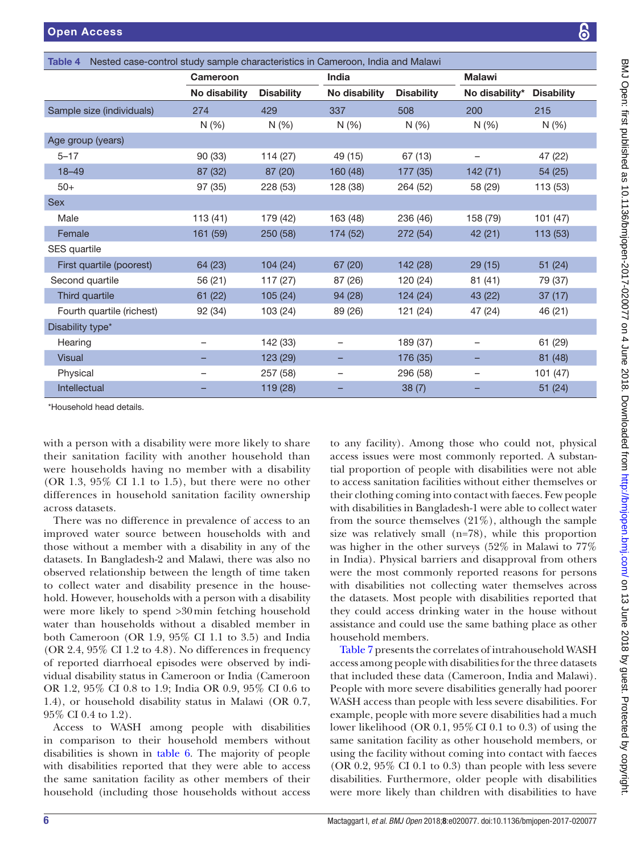|                           | <b>Cameroon</b>          |                   | <b>India</b>  |                   | <b>Malawi</b>  |                   |
|---------------------------|--------------------------|-------------------|---------------|-------------------|----------------|-------------------|
|                           | No disability            | <b>Disability</b> | No disability | <b>Disability</b> | No disability* | <b>Disability</b> |
| Sample size (individuals) | 274                      | 429               | 337           | 508               | 200            | 215               |
|                           | N(% )                    | N(%)              | N(%)          | N(% )             | N(% )          | N(% )             |
| Age group (years)         |                          |                   |               |                   |                |                   |
| $5 - 17$                  | 90 (33)                  | 114 (27)          | 49 (15)       | 67 (13)           |                | 47 (22)           |
| $18 - 49$                 | 87 (32)                  | 87 (20)           | 160(48)       | 177 (35)          | 142(71)        | 54(25)            |
| $50+$                     | 97 (35)                  | 228 (53)          | 128 (38)      | 264 (52)          | 58 (29)        | 113 (53)          |
| <b>Sex</b>                |                          |                   |               |                   |                |                   |
| Male                      | 113(41)                  | 179 (42)          | 163 (48)      | 236 (46)          | 158 (79)       | 101(47)           |
| Female                    | 161 (59)                 | 250 (58)          | 174 (52)      | 272(54)           | 42 (21)        | 113 (53)          |
| <b>SES</b> quartile       |                          |                   |               |                   |                |                   |
| First quartile (poorest)  | 64 (23)                  | 104(24)           | 67 (20)       | 142 (28)          | 29(15)         | 51(24)            |
| Second quartile           | 56 (21)                  | 117(27)           | 87 (26)       | 120 (24)          | 81(41)         | 79 (37)           |
| Third quartile            | 61(22)                   | 105(24)           | 94 (28)       | 124 (24)          | 43 (22)        | 37(17)            |
| Fourth quartile (richest) | 92 (34)                  | 103 (24)          | 89 (26)       | 121 (24)          | 47 (24)        | 46 (21)           |
| Disability type*          |                          |                   |               |                   |                |                   |
| Hearing                   | $\overline{\phantom{0}}$ | 142 (33)          |               | 189 (37)          | -              | 61 (29)           |
| <b>Visual</b>             |                          | 123 (29)          |               | 176 (35)          |                | 81 (48)           |
| Physical                  |                          | 257 (58)          | —             | 296 (58)          |                | 101(47)           |
| <b>Intellectual</b>       |                          | 119 (28)          |               | 38(7)             |                | 51(24)            |

<span id="page-5-0"></span>Table 4 Nested case-control study sample characteristics in Cameroon, India and Malawi

with a person with a disability were more likely to share their sanitation facility with another household than were households having no member with a disability (OR 1.3, 95% CI 1.1 to 1.5), but there were no other differences in household sanitation facility ownership across datasets.

There was no difference in prevalence of access to an improved water source between households with and those without a member with a disability in any of the datasets. In Bangladesh-2 and Malawi, there was also no observed relationship between the length of time taken to collect water and disability presence in the household. However, households with a person with a disability were more likely to spend >30min fetching household water than households without a disabled member in both Cameroon (OR 1.9, 95% CI 1.1 to 3.5) and India (OR 2.4, 95% CI 1.2 to 4.8). No differences in frequency of reported diarrhoeal episodes were observed by individual disability status in Cameroon or India (Cameroon OR 1.2, 95% CI 0.8 to 1.9; India OR 0.9, 95% CI 0.6 to 1.4), or household disability status in Malawi (OR 0.7, 95% CI 0.4 to 1.2).

Access to WASH among people with disabilities in comparison to their household members without disabilities is shown in [table](#page-7-0) 6. The majority of people with disabilities reported that they were able to access the same sanitation facility as other members of their household (including those households without access

to any facility). Among those who could not, physical access issues were most commonly reported. A substantial proportion of people with disabilities were not able to access sanitation facilities without either themselves or their clothing coming into contact with faeces. Few people with disabilities in Bangladesh-1 were able to collect water from the source themselves  $(21\%)$ , although the sample size was relatively small (n=78), while this proportion was higher in the other surveys (52% in Malawi to 77% in India). Physical barriers and disapproval from others were the most commonly reported reasons for persons with disabilities not collecting water themselves across the datasets. Most people with disabilities reported that they could access drinking water in the house without assistance and could use the same bathing place as other household members.

[Table](#page-8-0) 7 presents the correlates of intrahousehold WASH access among people with disabilities for the three datasets that included these data (Cameroon, India and Malawi). People with more severe disabilities generally had poorer WASH access than people with less severe disabilities. For example, people with more severe disabilities had a much lower likelihood (OR 0.1, 95%CI 0.1 to 0.3) of using the same sanitation facility as other household members, or using the facility without coming into contact with faeces (OR 0.2, 95% CI 0.1 to 0.3) than people with less severe disabilities. Furthermore, older people with disabilities were more likely than children with disabilities to have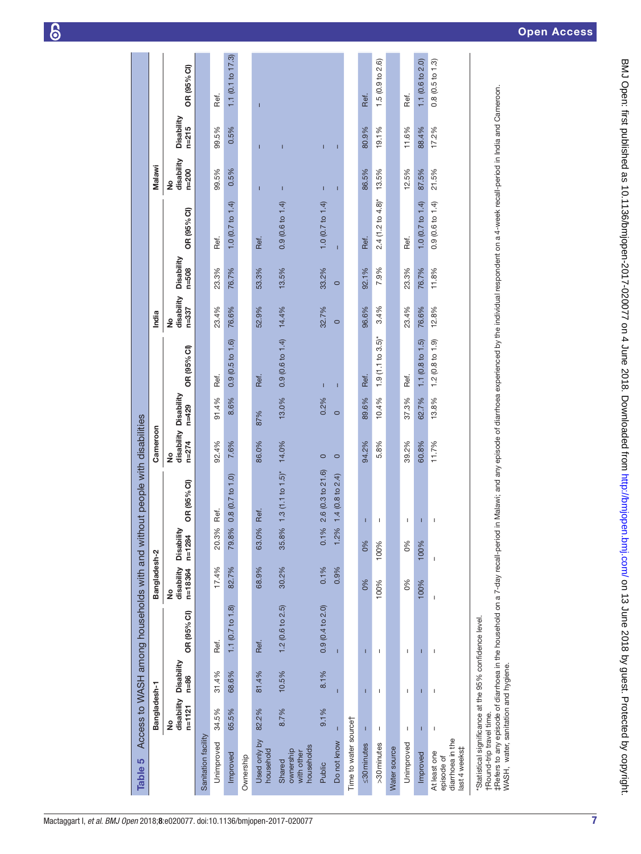| $\overline{\phantom{a}}$ |  |
|--------------------------|--|
|                          |  |

<span id="page-6-0"></span>

| <b>LO</b><br><b>Table</b>                                                                                                  |                                           |                          |                  |                                        |                          | Access to WASH among households with and without people with disabilities                                                                                                                                       |                                                     |           |                                |                              |                         |                     |                                          |                         |                      |
|----------------------------------------------------------------------------------------------------------------------------|-------------------------------------------|--------------------------|------------------|----------------------------------------|--------------------------|-----------------------------------------------------------------------------------------------------------------------------------------------------------------------------------------------------------------|-----------------------------------------------------|-----------|--------------------------------|------------------------------|-------------------------|---------------------|------------------------------------------|-------------------------|----------------------|
|                                                                                                                            | Bangladesh-1                              |                          |                  | Bangladesh-2                           |                          |                                                                                                                                                                                                                 | Cameroon                                            |           |                                | India                        |                         |                     | Malawi                                   |                         |                      |
|                                                                                                                            | disability<br>$n = 1121$<br>$\frac{1}{2}$ | Disability<br>$n = 86$   | OR (95% CI)      | disability<br>n=18364<br>$\frac{1}{2}$ | Disability<br>$n = 1284$ | OR (95% CI)                                                                                                                                                                                                     | disability Disability<br>$n = 274$<br>$\frac{1}{2}$ | $n = 429$ | OR (95% CI)                    | disability<br>$n = 337$<br>å | Disability<br>$n = 508$ | OR (95% CI)         | disability<br>$n = 200$<br>$\frac{1}{2}$ | Disability<br>$n = 215$ | OR (95% CI)          |
| Sanitation facility                                                                                                        |                                           |                          |                  |                                        |                          |                                                                                                                                                                                                                 |                                                     |           |                                |                              |                         |                     |                                          |                         |                      |
| Unimproved                                                                                                                 | 34.5%                                     | 31.4%                    | Ref.             | 17.4%                                  | %<br>20.3                | Ref.                                                                                                                                                                                                            | 92.4%                                               | 91.4%     | Ref.                           | 23.4%                        | 23.3%                   | Ref.                | 99.5%                                    | 99.5%                   | Ref.                 |
| Improved                                                                                                                   | 65.5%                                     | 68.6%                    | 1.1 (0.7 to 1.8) | 82.7%                                  | $\frac{8}{2}$<br>79.8    | $0.8(0.7 t_0 1.0)$                                                                                                                                                                                              | 7.6%                                                | 8.6%      | 0.9(0.5 to 1.6)                | 76.6%                        | 76.7%                   | 1.0 (0.7 to 1.4)    | 0.5%                                     | 0.5%                    | 1.1 $(0.1$ to 17.3)  |
| Ownership                                                                                                                  |                                           |                          |                  |                                        |                          |                                                                                                                                                                                                                 |                                                     |           |                                |                              |                         |                     |                                          |                         |                      |
| Used only by<br>household                                                                                                  | 82.2%                                     | 81.4%                    | Ref.             | 68.9%                                  | 63.0%                    | Ref.                                                                                                                                                                                                            | 86.0%                                               | 87%       | Ref.                           | 52.9%                        | 53.3%                   | Ref.                | ī                                        | п                       | ī                    |
| households<br>ownership<br>with other<br>Shared                                                                            | 8.7%                                      | 10.5%                    | 1.2(0.6 to 2.5)  | 30.2%                                  |                          | 35.8% 1.3 (1.1 to 1.5)* 14.0%                                                                                                                                                                                   |                                                     | 13.0%     | 0.9(0.6 to 1.4)                | 14.4%                        | 13.5%                   | 0.9(0.6 to 1.4)     | ī                                        | Ī                       |                      |
| Public                                                                                                                     | 9.1%                                      | 8.1%                     | 0.9(0.4 to 2.0)  | 0.1%                                   | 0.1%                     | 2.6(0.3 to 21.6)                                                                                                                                                                                                | $\circ$                                             | 0.2%      | Т                              | 32.7%                        | 33.2%                   | 1.0 $(0.7 t 0 1.4)$ | T                                        | Т                       |                      |
| Do not know                                                                                                                |                                           | Ţ                        |                  | 0.9%                                   | 1.2%                     | 1.4(0.8 to 2.4)                                                                                                                                                                                                 | $\circ$                                             | $\circ$   | T                              | $\circ$                      | $\circ$                 |                     | ī                                        | ī                       |                      |
| Time to water source†                                                                                                      |                                           |                          |                  |                                        |                          |                                                                                                                                                                                                                 |                                                     |           |                                |                              |                         |                     |                                          |                         |                      |
| $≤30$ minutes                                                                                                              | Ţ                                         |                          |                  | 0%                                     | 0%                       | Т                                                                                                                                                                                                               | 94.2%                                               | 89.6%     | Ref.                           | 96.6%                        | 92.1%                   | Ref.                | 86.5%                                    | 80.9%                   | Ref.                 |
| >30 minutes                                                                                                                | $\begin{array}{c} \end{array}$            | $\overline{\phantom{a}}$ | I                | 100%                                   | 100%                     | I                                                                                                                                                                                                               | 5.8%                                                | 10.4%     | $1.9(1.1 \text{ to } 3.5)^{*}$ | 3.4%                         | 7.9%                    | $2.4(1.2 to 4.8)$ * | 13.5%                                    | 19.1%                   | 1.5(0.9 to 2.6)      |
| Water source                                                                                                               |                                           |                          |                  |                                        |                          |                                                                                                                                                                                                                 |                                                     |           |                                |                              |                         |                     |                                          |                         |                      |
| Unimproved                                                                                                                 | I                                         | ı                        | ı                | 0%                                     | 0%                       | I.                                                                                                                                                                                                              | 39.2%                                               | 37.3%     | Ref.                           | 23.4%                        | 23.3%                   | Ref.                | 12.5%                                    | 11.6%                   | Ref.                 |
| Improved                                                                                                                   | Ţ                                         | ı                        | ī                | 100%                                   | 100%                     | I                                                                                                                                                                                                               | 60.8%                                               | 62.7%     | 1.1(0.8 to 1.5)                | 76.6%                        | 76.7%                   | 1.0 (0.7 to 1.4)    | 87.5%                                    | 88.4%                   | $1.1$ $(0.6 to 2.0)$ |
| diarrhoea in the<br>last 4 weeks‡<br>At least one<br>episode of                                                            | $\sf I$                                   | I                        | I                | I                                      | Ï                        | $\overline{\phantom{a}}$                                                                                                                                                                                        | 11.7%                                               | 13.8%     | $1.2(0.8 \text{ to } 1.9)$     | 12.8%                        | 11.8%                   | 0.9(0.6 to 1.4)     | 21.5%                                    | 17.2%                   | 0.8(0.5 to 1.3)      |
| "Statistical significance at the 95% confidence level.<br>WASH, water, sanitation and hygiene.<br>tRound-trip travel time. |                                           |                          |                  |                                        |                          | #Refers to any episode of diarrhoea in the household on a 7-day recall-period in Malawi; and any episode of diarrhoea experienced by the individual respondent on a 4-week recall-period in India and Cameroon. |                                                     |           |                                |                              |                         |                     |                                          |                         |                      |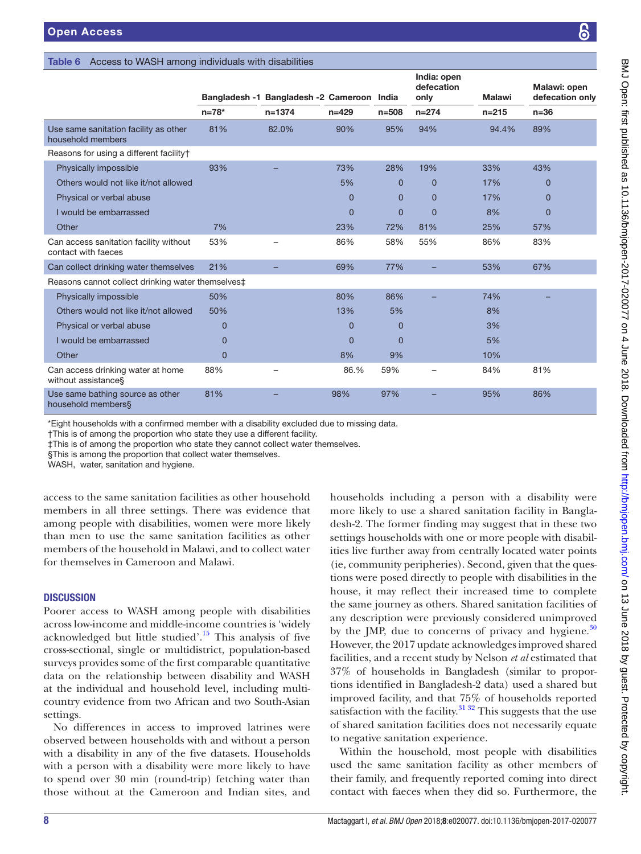# <span id="page-7-0"></span>Table 6 Access to WASH among individuals with disabilities

|                                                               |                | Bangladesh -1 Bangladesh -2 Cameroon India |                |              | India: open<br>defecation<br>only | <b>Malawi</b> | Malawi: open<br>defecation only |
|---------------------------------------------------------------|----------------|--------------------------------------------|----------------|--------------|-----------------------------------|---------------|---------------------------------|
|                                                               | $n = 78*$      | $n = 1374$                                 | $n = 429$      | $n = 508$    | $n = 274$                         | $n = 215$     | $n=36$                          |
| Use same sanitation facility as other<br>household members    | 81%            | 82.0%                                      | 90%            | 95%          | 94%                               | 94.4%         | 89%                             |
| Reasons for using a different facility+                       |                |                                            |                |              |                                   |               |                                 |
| Physically impossible                                         | 93%            |                                            | 73%            | 28%          | 19%                               | 33%           | 43%                             |
| Others would not like it/not allowed                          |                |                                            | 5%             | $\mathbf{0}$ | $\mathbf 0$                       | 17%           | 0                               |
| Physical or verbal abuse                                      |                |                                            | $\overline{0}$ | $\Omega$     | $\Omega$                          | 17%           | $\Omega$                        |
| I would be embarrassed                                        |                |                                            | $\overline{0}$ | $\Omega$     | $\Omega$                          | 8%            | $\overline{0}$                  |
| Other                                                         | 7%             |                                            | 23%            | 72%          | 81%                               | 25%           | 57%                             |
| Can access sanitation facility without<br>contact with faeces | 53%            |                                            | 86%            | 58%          | 55%                               | 86%           | 83%                             |
| Can collect drinking water themselves                         | 21%            |                                            | 69%            | 77%          |                                   | 53%           | 67%                             |
| Reasons cannot collect drinking water themselves‡             |                |                                            |                |              |                                   |               |                                 |
| Physically impossible                                         | 50%            |                                            | 80%            | 86%          |                                   | 74%           |                                 |
| Others would not like it/not allowed                          | 50%            |                                            | 13%            | 5%           |                                   | 8%            |                                 |
| Physical or verbal abuse                                      | $\overline{0}$ |                                            | $\overline{0}$ | $\Omega$     |                                   | 3%            |                                 |
| I would be embarrassed                                        | $\mathbf{0}$   |                                            | $\overline{0}$ | 0            |                                   | 5%            |                                 |
| Other                                                         | $\mathbf{0}$   |                                            | 8%             | 9%           |                                   | 10%           |                                 |
| Can access drinking water at home<br>without assistance§      | 88%            |                                            | 86.%           | 59%          |                                   | 84%           | 81%                             |
| Use same bathing source as other<br>household members§        | 81%            |                                            | 98%            | 97%          |                                   | 95%           | 86%                             |

\*Eight households with a confirmed member with a disability excluded due to missing data.

†This is of among the proportion who state they use a different facility.

‡This is of among the proportion who state they cannot collect water themselves.

§This is among the proportion that collect water themselves.

WASH, water, sanitation and hygiene.

access to the same sanitation facilities as other household members in all three settings. There was evidence that among people with disabilities, women were more likely than men to use the same sanitation facilities as other members of the household in Malawi, and to collect water for themselves in Cameroon and Malawi.

# **DISCUSSION**

Poorer access to WASH among people with disabilities across low-income and middle-income countries is 'widely acknowledged but little studied'.<sup>15</sup> This analysis of five cross-sectional, single or multidistrict, population-based surveys provides some of the first comparable quantitative data on the relationship between disability and WASH at the individual and household level, including multicountry evidence from two African and two South-Asian settings.

No differences in access to improved latrines were observed between households with and without a person with a disability in any of the five datasets. Households with a person with a disability were more likely to have to spend over 30 min (round-trip) fetching water than those without at the Cameroon and Indian sites, and

households including a person with a disability were more likely to use a shared sanitation facility in Bangladesh-2. The former finding may suggest that in these two settings households with one or more people with disabilities live further away from centrally located water points (ie, community peripheries). Second, given that the questions were posed directly to people with disabilities in the house, it may reflect their increased time to complete the same journey as others. Shared sanitation facilities of any description were previously considered unimproved by the JMP, due to concerns of privacy and hygiene. $30$ However, the 2017 update acknowledges improved shared facilities, and a recent study by Nelson *et al* estimated that 37% of households in Bangladesh (similar to proportions identified in Bangladesh-2 data) used a shared but improved facility, and that 75% of households reported satisfaction with the facility.<sup>31 32</sup> This suggests that the use of shared sanitation facilities does not necessarily equate to negative sanitation experience.

Within the household, most people with disabilities used the same sanitation facility as other members of their family, and frequently reported coming into direct contact with faeces when they did so. Furthermore, the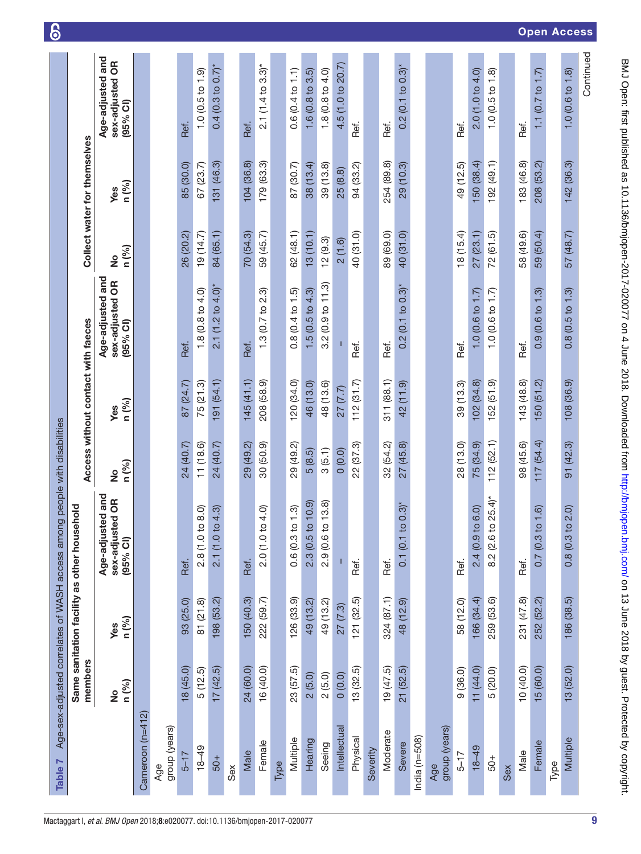|                      | members                | Age-sex-adjusted correlates of WASH access amor<br>Same sanitation facility as other hous | ehold                                           | ig people with disabilities | Access without contact with faeces |                                                 |                        | Collect water for themselves |                                                   |
|----------------------|------------------------|-------------------------------------------------------------------------------------------|-------------------------------------------------|-----------------------------|------------------------------------|-------------------------------------------------|------------------------|------------------------------|---------------------------------------------------|
|                      | n (%)<br>$\frac{1}{2}$ | n (%)<br>Yes                                                                              | Age-adjusted and<br>sex-adjusted OR<br>(95% CI) | n (%)<br>$\frac{1}{2}$      | n (%)<br>Yes                       | Age-adjusted and<br>sex-adjusted OR<br>(95% Cl) | n (%)<br>$\frac{1}{2}$ | n (%)<br>Yes                 | Age-adjusted and<br>sex-adjusted OR<br>$(95%$ CI) |
| Cameroon (n=412)     |                        |                                                                                           |                                                 |                             |                                    |                                                 |                        |                              |                                                   |
| group (years)<br>Age |                        |                                                                                           |                                                 |                             |                                    |                                                 |                        |                              |                                                   |
| $5 - 17$             | 18 (45.0)              | 93 (25.0)                                                                                 | Ref.                                            | 24 (40.7)                   | 87 (24.7)                          | Ref.                                            | 26 (20.2)              | 85 (30.0)                    | Ref.                                              |
| $18 - 49$            | 5 (12.5)               | 81 (21.8)                                                                                 | 2.8(1.0 to 8.0)                                 | 11(18.6)                    | 75(21.3)                           | 1.8(0.8 to 4.0)                                 | 19 (14.7)              | 67(23.7)                     | 1.0(0.5 to 1.9)                                   |
| $50+$                | 17(42.5)               | 198 (53.2)                                                                                | 2.1(1.0 to 4.3)                                 | 24 (40.7)                   | 191 (54.1)                         | $2.1(1.2 \text{ to } 4.0)^*$                    | 84 (65.1)              | 131 (46.3)                   | $0.4(0.3 to 0.7)$ *                               |
| Sex                  |                        |                                                                                           |                                                 |                             |                                    |                                                 |                        |                              |                                                   |
| Male                 | 24 (60.0)              | 150 (40.3)                                                                                | Ref.                                            | 29 (49.2)                   | 145(41.1)                          | Ref.                                            | 70(54.3)               | 104 (36.8)                   | Ref.                                              |
| Female               | 16 (40.0)              | 222 (59.7)                                                                                | 4.0<br>2.0 (1.0 to                              | 30 (50.9)                   | 208 (58.9)                         | $1.3(0.7)$ to $2.3$                             | 59 (45.7)              | 179 (63.3)                   | $3.\overline{3}$ <sup>*</sup><br>2.1(1.4 to       |
| Type                 |                        |                                                                                           |                                                 |                             |                                    |                                                 |                        |                              |                                                   |
| Multiple             | 23 (57.5)              | 126(33.9)                                                                                 | 0.6(0.3 to 1.3)                                 | 29 (49.2)                   | 120 (34.0)                         | 0.8(0.4 to 1.5)                                 | 62(48.1)               | 87 (30.7)                    | 0.6(0.4 to 1.1)                                   |
| Hearing              | 2(5.0)                 | 49 (13.2)                                                                                 | 2.3(0.5 to 10.9)                                | 5(8.5)                      | 46 (13.0)                          | 1.5(0.5 to 4.3)                                 | 13(10.1)               | 38(13.4)                     | $1.6(0.8 \text{ to } 3.5)$                        |
| Seeing               | 2(5.0)                 | 49 (13.2)                                                                                 | 2.9(0.6 to 13.8)                                | 3(5.1)                      | 48 (13.6)                          | 3.2(0.9 to 11.3)                                | 12(9.3)                | 39 (13.8)                    | $1.8(0.8 \text{ to } 4.0)$                        |
| Intellectual         | 0(0.0)                 | 27(7.3)                                                                                   |                                                 | 0(0.0)                      | 27(7.7)                            |                                                 | 2(1.6)                 | 25 (8.8)                     | 4.5 (1.0 to 20.7)                                 |
| Physical             | 13(32.5)               | 121(32.5)                                                                                 | Ref.                                            | 22 (37.3)                   | 112(31.7)                          | Ref.                                            | 40 (31.0)              | 94 (33.2)                    | Ref.                                              |
| Severity             |                        |                                                                                           |                                                 |                             |                                    |                                                 |                        |                              |                                                   |
| Moderate             | (47.5)                 | 324 (87.1)                                                                                | Ref.                                            | 32 (54.2)                   | 311 (88.1)                         | Ref.                                            | 89 (69.0)              | 254 (89.8)                   | Ref.                                              |
| Severe               | 21 (52.5)              | 48 (12.9)                                                                                 | $0.1(0.1 to 0.3)^{*}$                           | 27(45.8)                    | 42 (11.9)                          | 0.2(0.1 to 0.3)                                 | 40 (31.0)              | 29 (10.3)                    | $(0.1 to 0.3)$ *<br>0.2                           |
| India (n=508)        |                        |                                                                                           |                                                 |                             |                                    |                                                 |                        |                              |                                                   |
| group (years)<br>Age |                        |                                                                                           |                                                 |                             |                                    |                                                 |                        |                              |                                                   |
| $5 - 17$             | 9(36.0)                | 58 (12.0)                                                                                 | Ref.                                            | 28 (13.0)                   | 39 (13.3)                          | Ref.                                            | 18(15.4)               | 49 (12.5)                    | Ref.                                              |
| $18 - 49$            | 11(44.0)               | 166 (34.4)                                                                                | 2.4(0.9 to 6.0)                                 | 75 (34.9)                   | 102(34.8)                          | 1.0(0.6 t 01.7)                                 | 27(23.1)               | 150 (38.4)                   | 2.0(1.0 to 4.0)                                   |
| $-05$                | 5 (20.0)               | 259 (53.6)                                                                                | $25.4$ <sup>*</sup><br>8.2 (2.6 to              | 112(52.1)                   | 152(51.9)                          | 1.0 $(0.6 t 0 1.7)$                             | (61.5)<br>72           | 192 (49.1)                   | 1.0(0.5 to 1.8)                                   |
| Sex                  |                        |                                                                                           |                                                 |                             |                                    |                                                 |                        |                              |                                                   |
| Male                 | 10(40.0)               | 231 (47.8)                                                                                | Ref.                                            | 98 (45.6)                   | 143 (48.8)                         | Ref.                                            | 58 (49.6)              | 183 (46.8)                   | Ref.                                              |
| Female               | 15 (60.0)              | 252 (52.2)                                                                                | 0.7(0.3 to 1.6)                                 | 117(54.4)                   | 150(51.2)                          | 0.9(0.6 to 1.3)                                 | 59 (50.4)              | 208 (53.2)                   | 1.1 $(0.7 to 1.7)$                                |
| Type                 |                        |                                                                                           |                                                 |                             |                                    |                                                 |                        |                              |                                                   |
| Multiple             | 13(52.0)               | 186 (38.5)                                                                                | 0.8(0.3 to 2.0)                                 | 91(42.3)                    | 108(36.9)                          | 0.8(0.5 to 1.3)                                 | 57 (48.7)              | 142 (36.3)                   | 1.0(0.6 to 1.8)                                   |
|                      |                        |                                                                                           |                                                 |                             |                                    |                                                 |                        |                              | Continued                                         |

 $\epsilon$ 

<span id="page-8-0"></span>9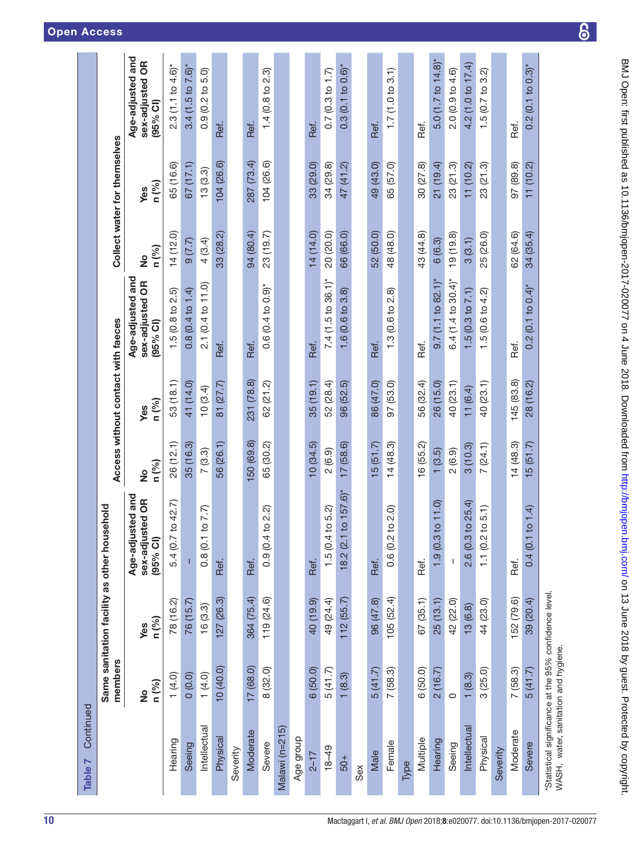| Continued<br>Table 7                                                                         |                        |              |                                                 |                        |                                    |                                                 |                        |                              |                                                 |
|----------------------------------------------------------------------------------------------|------------------------|--------------|-------------------------------------------------|------------------------|------------------------------------|-------------------------------------------------|------------------------|------------------------------|-------------------------------------------------|
|                                                                                              | members                |              | Same sanitation facility as other household     |                        | Access without contact with faeces |                                                 |                        | Collect water for themselves |                                                 |
|                                                                                              | n (%)<br>$\frac{1}{2}$ | n (%)<br>Yes | Age-adjusted and<br>sex-adjusted OR<br>(95% CI) | n (%)<br>$\frac{1}{2}$ | n (%)<br>Yes                       | Age-adjusted and<br>sex-adjusted OR<br>(95% CI) | n (%)<br>$\frac{1}{2}$ | n (%)<br>Yes                 | Age-adjusted and<br>sex-adjusted OR<br>(95% CI) |
| Hearing                                                                                      | 1(4.0)                 | 78 (16.2)    | to $42.7$<br>5.4(0.7)                           | 26 (12.1)              | 53 (18.1)                          | $1.5(0.8 \text{ to } 2.5)$                      | 14(12.0)               | 65 (16.6)                    | $2.3(1.1 to 4.6)$ *                             |
| Seeing                                                                                       | (0.0)                  | 76 (15.7)    |                                                 | 35(16.3)               | 41 (14.0)                          | 0.8(0.4 to 1.4)                                 | (7.7)                  | 67(17.1)                     | $3.4(1.5 to 7.6)$ *                             |
| Intellectual                                                                                 | 1(4.0)                 | 16(3.3)      | to $7.7$ )<br>0.8(0.1)                          | 7(3.3)                 | 10(3.4)                            | 2.1 (0.4 to 11.0)                               | 4(3.4)                 | 13(3.3)                      | 0.9(0.2 to 5.0)                                 |
| Physical                                                                                     | 10 (40.0)              | 127(26.3)    | Ref.                                            | 56 (26.1)              | 81(27.7)                           | Ref.                                            | 33 (28.2)              | 104(26.6)                    | Ref.                                            |
| Severity                                                                                     |                        |              |                                                 |                        |                                    |                                                 |                        |                              |                                                 |
| Moderate                                                                                     | 17(68.0)               | 364 (75.4)   | Ref.                                            | 150 (69.8)             | 231 (78.8)                         | Ref.                                            | 94 (80.4)              | 287 (73.4)                   | Ref.                                            |
| Severe                                                                                       | 8 (32.0)               | 119 (24.6)   | to $2.2$<br>0.9(0.4                             | 65 (30.2)              | 62 (21.2)                          | $0.6(0.4 to 0.9)$ *                             | 23 (19.7)              | 104 (26.6)                   | $1.4$ (0.8 to 2.3)                              |
| Malawi (n=215)                                                                               |                        |              |                                                 |                        |                                    |                                                 |                        |                              |                                                 |
| Age group                                                                                    |                        |              |                                                 |                        |                                    |                                                 |                        |                              |                                                 |
| $2 - 17$                                                                                     | 6(50.0)                | 40 (19.9)    | Ref.                                            | 10(34.5)               | 35(19.1)                           | Ref.                                            | 14(14.0)               | 33 (29.0)                    | Ref.                                            |
| $18 - 49$                                                                                    | 5(41.7)                | 49 (24.4)    | to $5.2$<br>1.5(0.4)                            | 2(6.9)                 | 52 (28.4)                          | $7.4(1.5 to 36.1)^{*}$                          | 20 (20.0)              | 34 (29.8)                    | 0.7(0.3 to 1.7)                                 |
| $-50+$                                                                                       | 1(8.3)                 | 112(55.7)    | to $157.6$ <sup>*</sup><br>18.2(2.1)            | 17(58.6)               | 96 (52.5)                          | 1.6(0.6 to 3.8)                                 | 66 (66.0)              | 47 (41.2)                    | 0.3(0.1 to 0.6)                                 |
| Sex                                                                                          |                        |              |                                                 |                        |                                    |                                                 |                        |                              |                                                 |
| Male                                                                                         | 5(41.7)                | 96 (47.8)    | Ref.                                            | 15(51.7)               | 86 (47.0)                          | Ref.                                            | 52 (50.0)              | 49 (43.0)                    | Ref.                                            |
| Female                                                                                       | 7(58.3)                | 105(52.4)    | to $2.0$<br>0.6(0.2)                            | 14(48.3)               | 97(53.0)                           | 1.3(0.6 to 2.8)                                 | 48 (48.0)              | 65 (57.0)                    | 1.7(1.0 to 3.1)                                 |
| Type                                                                                         |                        |              |                                                 |                        |                                    |                                                 |                        |                              |                                                 |
| Multiple                                                                                     | 6 (50.0)               | 67(35.1)     | Ref.                                            | 16(55.2)               | 56 (32.4)                          | Ref.                                            | 43 (44.8)              | 30(27.8)                     | Ref.                                            |
| Hearing                                                                                      | 2(16.7)                | 25(13.1)     | $\frac{1}{1}$ .0)<br>1.9(0.3)                   | 1(3.5)                 | 26 (15.0)                          | $9.7(1.1 to 82.1)^*$                            | 6 (6.3)                | 21 (19.4)                    | $5.0(1.7 \text{ to } 14.8)$ *                   |
| Seeing                                                                                       | $\circ$                | 42 (22.0)    | $\mathbf{I}$                                    | (6.9)                  | 40 (23.1)                          | 6.4 (1.4 to 30.4)*                              | 19(19.8)               | 23(21.3)                     | 2.0(0.9 to 4.6)                                 |
| Intellectual                                                                                 | 1(8.3)                 | 13(6.8)      | to $25.4$<br>2.6(0.3)                           | 3(10.3)                | 11(6.4)                            | 1.5(0.3 to 7.1)                                 | 3(3.1)                 | 11(10.2)                     | 4.2 (1.0 to 17.4)                               |
| Physical                                                                                     | 3(25.0)                | 44 (23.0)    | to 5.1<br>1.1(0.2)                              | 7(24.1)                | 40 (23.1)                          | 1.5(0.6 to 4.2)                                 | 25 (26.0)              | 23 (21.3)                    | 1.5 (0.7 to 3.2)                                |
| Severity                                                                                     |                        |              |                                                 |                        |                                    |                                                 |                        |                              |                                                 |
| Moderate                                                                                     | 7(58.3)                | 152 (79.6)   | Ref.                                            | 14(48.3)               | 145 (83.8)                         | Ref.                                            | 62 (64.6)              | 97 (89.8)                    | Ref.                                            |
| Severe                                                                                       | 5(41.7)                | 39 (20.4)    | to $1.4$<br>0.4(0.1)                            | 15(51.7)               | 28 (16.2)                          | $0.2(0.1)$ to $0.4$ <sup>*</sup>                | 34(35.4)               | 11(10.2)                     | $0.2(0.1 to 0.3)$ *                             |
| Statistical significance at the 95% confidence level<br>WASH, water, sanitation and hygiene. |                        |              |                                                 |                        |                                    |                                                 |                        |                              |                                                 |

 $\overline{6}$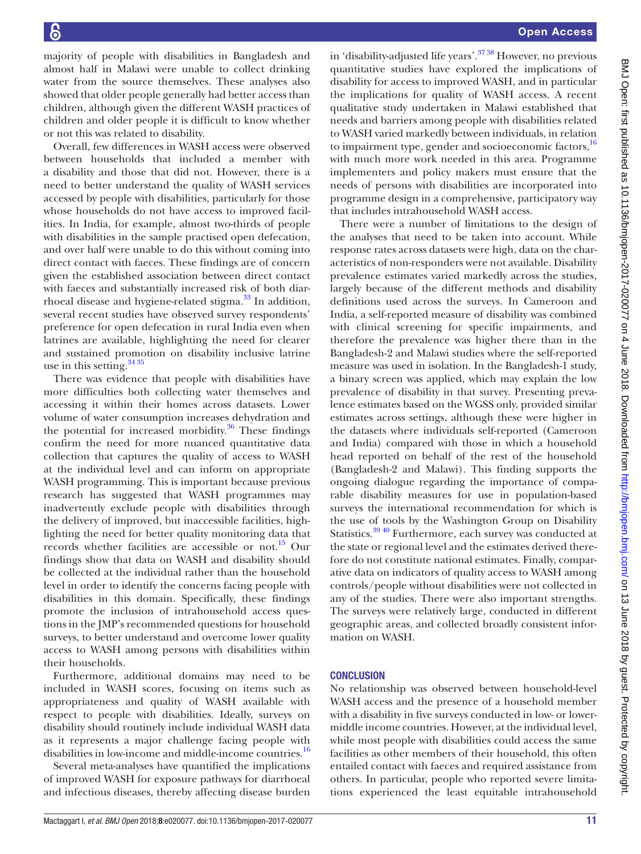majority of people with disabilities in Bangladesh and almost half in Malawi were unable to collect drinking water from the source themselves. These analyses also showed that older people generally had better access than children, although given the different WASH practices of children and older people it is difficult to know whether or not this was related to disability.

Overall, few differences in WASH access were observed between households that included a member with a disability and those that did not. However, there is a need to better understand the quality of WASH services accessed by people with disabilities, particularly for those whose households do not have access to improved facilities. In India, for example, almost two-thirds of people with disabilities in the sample practised open defecation, and over half were unable to do this without coming into direct contact with faeces. These findings are of concern given the established association between direct contact with faeces and substantially increased risk of both diar-rhoeal disease and hygiene-related stigma.<sup>[33](#page-12-7)</sup> In addition, several recent studies have observed survey respondents' preference for open defecation in rural India even when latrines are available, highlighting the need for clearer and sustained promotion on disability inclusive latrine use in this setting.<sup>[34 35](#page-12-8)</sup>

There was evidence that people with disabilities have more difficulties both collecting water themselves and accessing it within their homes across datasets. Lower volume of water consumption increases dehydration and the potential for increased morbidity. $36$  These findings confirm the need for more nuanced quantitative data collection that captures the quality of access to WASH at the individual level and can inform on appropriate WASH programming. This is important because previous research has suggested that WASH programmes may inadvertently exclude people with disabilities through the delivery of improved, but inaccessible facilities, highlighting the need for better quality monitoring data that records whether facilities are accessible or not.<sup>[15](#page-11-6)</sup> Our findings show that data on WASH and disability should be collected at the individual rather than the household level in order to identify the concerns facing people with disabilities in this domain. Specifically, these findings promote the inclusion of intrahousehold access questions in the JMP's recommended questions for household surveys, to better understand and overcome lower quality access to WASH among persons with disabilities within their households.

Furthermore, additional domains may need to be included in WASH scores, focusing on items such as appropriateness and quality of WASH available with respect to people with disabilities. Ideally, surveys on disability should routinely include individual WASH data as it represents a major challenge facing people with disabilities in low-income and middle-income countries.<sup>16</sup>

Several meta-analyses have quantified the implications of improved WASH for exposure pathways for diarrhoeal and infectious diseases, thereby affecting disease burden

in 'disability-adjusted life years'.<sup>37</sup> 38</sup> However, no previous quantitative studies have explored the implications of disability for access to improved WASH, and in particular the implications for quality of WASH access. A recent qualitative study undertaken in Malawi established that needs and barriers among people with disabilities related to WASH varied markedly between individuals, in relation to impairment type, gender and socioeconomic factors,<sup>[16](#page-11-7)</sup> with much more work needed in this area. Programme implementers and policy makers must ensure that the needs of persons with disabilities are incorporated into programme design in a comprehensive, participatory way that includes intrahousehold WASH access.

There were a number of limitations to the design of the analyses that need to be taken into account. While response rates across datasets were high, data on the characteristics of non-responders were not available. Disability prevalence estimates varied markedly across the studies, largely because of the different methods and disability definitions used across the surveys. In Cameroon and India, a self-reported measure of disability was combined with clinical screening for specific impairments, and therefore the prevalence was higher there than in the Bangladesh-2 and Malawi studies where the self-reported measure was used in isolation. In the Bangladesh-1 study, a binary screen was applied, which may explain the low prevalence of disability in that survey. Presenting prevalence estimates based on the WGSS only, provided similar estimates across settings, although these were higher in the datasets where individuals self-reported (Cameroon and India) compared with those in which a household head reported on behalf of the rest of the household (Bangladesh-2 and Malawi). This finding supports the ongoing dialogue regarding the importance of comparable disability measures for use in population-based surveys the international recommendation for which is the use of tools by the Washington Group on Disability Statistics.<sup>[39 40](#page-12-11)</sup> Furthermore, each survey was conducted at the state or regional level and the estimates derived therefore do not constitute national estimates. Finally, comparative data on indicators of quality access to WASH among controls/people without disabilities were not collected in any of the studies. There were also important strengths. The surveys were relatively large, conducted in different geographic areas, and collected broadly consistent information on WASH.

# **CONCLUSION**

No relationship was observed between household-level WASH access and the presence of a household member with a disability in five surveys conducted in low- or lowermiddle income countries. However, at the individual level, while most people with disabilities could access the same facilities as other members of their household, this often entailed contact with faeces and required assistance from others. In particular, people who reported severe limitations experienced the least equitable intrahousehold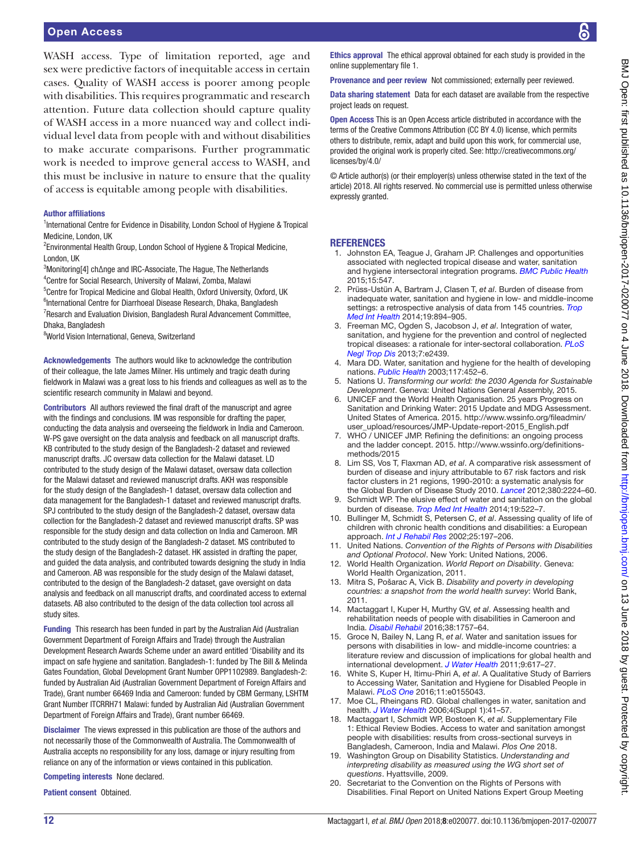# Open Access

WASH access. Type of limitation reported, age and sex were predictive factors of inequitable access in certain cases. Quality of WASH access is poorer among people with disabilities. This requires programmatic and research attention. Future data collection should capture quality of WASH access in a more nuanced way and collect individual level data from people with and without disabilities to make accurate comparisons. Further programmatic work is needed to improve general access to WASH, and this must be inclusive in nature to ensure that the quality of access is equitable among people with disabilities.

#### Author affiliations

<sup>1</sup>International Centre for Evidence in Disability, London School of Hygiene & Tropical Medicine, London, UK

<sup>2</sup> Environmental Health Group, London School of Hygiene & Tropical Medicine, London, UK

<sup>3</sup>Monitoring[4] ch∆nge and IRC-Associate, The Hague, The Netherlands 4 Centre for Social Research, University of Malawi, Zomba, Malawi <sup>5</sup>Centre for Tropical Medicine and Global Health, Oxford University, Oxford, UK <sup>6</sup>International Centre for Diarrhoeal Disease Research, Dhaka, Bangladesh <sup>7</sup> Resarch and Evaluation Division, Bangladesh Rural Advancement Committee, Dhaka, Bangladesh

8 World Vision International, Geneva, Switzerland

Acknowledgements The authors would like to acknowledge the contribution of their colleague, the late James Milner. His untimely and tragic death during fieldwork in Malawi was a great loss to his friends and colleagues as well as to the scientific research community in Malawi and beyond.

Contributors All authors reviewed the final draft of the manuscript and agree with the findings and conclusions. IM was responsible for drafting the paper, conducting the data analysis and overseeing the fieldwork in India and Cameroon. W-PS gave oversight on the data analysis and feedback on all manuscript drafts. KB contributed to the study design of the Bangladesh-2 dataset and reviewed manuscript drafts. JC oversaw data collection for the Malawi dataset. LD contributed to the study design of the Malawi dataset, oversaw data collection for the Malawi dataset and reviewed manuscript drafts. AKH was responsible for the study design of the Bangladesh-1 dataset, oversaw data collection and data management for the Bangladesh-1 dataset and reviewed manuscript drafts. SPJ contributed to the study design of the Bangladesh-2 dataset, oversaw data collection for the Bangladesh-2 dataset and reviewed manuscript drafts. SP was responsible for the study design and data collection on India and Cameroon. MR contributed to the study design of the Bangladesh-2 dataset. MS contributed to the study design of the Bangladesh-2 dataset. HK assisted in drafting the paper, and guided the data analysis, and contributed towards designing the study in India and Cameroon. AB was responsible for the study design of the Malawi dataset, contributed to the design of the Bangladesh-2 dataset, gave oversight on data analysis and feedback on all manuscript drafts, and coordinated access to external datasets. AB also contributed to the design of the data collection tool across all study sites.

Funding This research has been funded in part by the Australian Aid (Australian Government Department of Foreign Affairs and Trade) through the Australian Development Research Awards Scheme under an award entitled 'Disability and its impact on safe hygiene and sanitation. Bangladesh-1: funded by The Bill & Melinda Gates Foundation, Global Development Grant Number OPP1102989. Bangladesh-2: funded by Australian Aid (Australian Government Department of Foreign Affairs and Trade), Grant number 66469 India and Cameroon: funded by CBM Germany, LSHTM Grant Number ITCRRH71 Malawi: funded by Australian Aid (Australian Government Department of Foreign Affairs and Trade), Grant number 66469.

Disclaimer The views expressed in this publication are those of the authors and not necessarily those of the Commonwealth of Australia. The Commonwealth of Australia accepts no responsibility for any loss, damage or injury resulting from reliance on any of the information or views contained in this publication.

Competing interests None declared.

Patient consent Obtained.

Ethics approval The ethical approval obtained for each study is provided in the online [supplementary file 1](https://dx.doi.org/10.1136/bmjopen-2017-020077).

Provenance and peer review Not commissioned; externally peer reviewed.

Data sharing statement Data for each dataset are available from the respective project leads on request.

Open Access This is an Open Access article distributed in accordance with the terms of the Creative Commons Attribution (CC BY 4.0) license, which permits others to distribute, remix, adapt and build upon this work, for commercial use, provided the original work is properly cited. See: [http://creativecommons.org/](http://creativecommons.org/licenses/by/4.0/) [licenses/by/4.0/](http://creativecommons.org/licenses/by/4.0/)

© Article author(s) (or their employer(s) unless otherwise stated in the text of the article) 2018. All rights reserved. No commercial use is permitted unless otherwise expressly granted.

# **REFERENCES**

- <span id="page-11-0"></span>1. Johnston EA, Teague J, Graham JP. Challenges and opportunities associated with neglected tropical disease and water, sanitation and hygiene intersectoral integration programs. *[BMC Public Health](http://dx.doi.org/10.1186/s12889-015-1838-7)* 2015;15:547.
- <span id="page-11-2"></span>2. Prüss-Ustün A, Bartram J, Clasen T, *et al*. Burden of disease from inadequate water, sanitation and hygiene in low- and middle-income settings: a retrospective analysis of data from 145 countries. *[Trop](http://dx.doi.org/10.1111/tmi.12329)  [Med Int Health](http://dx.doi.org/10.1111/tmi.12329)* 2014;19:894–905.
- 3. Freeman MC, Ogden S, Jacobson J, *et al*. Integration of water, sanitation, and hygiene for the prevention and control of neglected tropical diseases: a rationale for inter-sectoral collaboration. *[PLoS](http://dx.doi.org/10.1371/journal.pntd.0002439)  [Negl Trop Dis](http://dx.doi.org/10.1371/journal.pntd.0002439)* 2013;7:e2439.
- 4. Mara DD. Water, sanitation and hygiene for the health of developing nations. *[Public Health](http://dx.doi.org/10.1016/S0033-3506(03)00143-4)* 2003;117:452–6.
- <span id="page-11-1"></span>5. Nations U. *Transforming our world: the 2030 Agenda for Sustainable Development*. Geneva: United Nations General Assembly, 2015.
- 6. UNICEF and the World Health Organisation. 25 years Progress on Sanitation and Drinking Water: 2015 Update and MDG Assessment. United States of America. 2015. [http://www.wssinfo.org/fileadmin/](http://www.wssinfo.org/fileadmin/user_upload/resources/JMP-Update-report-2015_English.pdf) [user\\_upload/resources/JMP-Update-report-2015\\_English.pdf](http://www.wssinfo.org/fileadmin/user_upload/resources/JMP-Update-report-2015_English.pdf)
- <span id="page-11-11"></span>7. WHO / UNICEF JMP. Refining the definitions: an ongoing process and the ladder concept. 2015. [http://www.wssinfo.org/definitions](http://www.wssinfo.org/definitions-methods/2015)[methods/2015](http://www.wssinfo.org/definitions-methods/2015)
- 8. Lim SS, Vos T, Flaxman AD, *et al*. A comparative risk assessment of burden of disease and injury attributable to 67 risk factors and risk factor clusters in 21 regions, 1990-2010: a systematic analysis for the Global Burden of Disease Study 2010. *[Lancet](http://dx.doi.org/10.1016/S0140-6736(12)61766-8)* 2012;380:2224–60.
- <span id="page-11-3"></span>9. Schmidt WP. The elusive effect of water and sanitation on the global burden of disease. *[Trop Med Int Health](http://dx.doi.org/10.1111/tmi.12286)* 2014;19:522–7.
- 10. Bullinger M, Schmidt S, Petersen C, *et al*. Assessing quality of life of children with chronic health conditions and disabilities: a European approach. *[Int J Rehabil Res](http://dx.doi.org/10.1097/00004356-200209000-00005)* 2002;25:197–206.
- <span id="page-11-4"></span>11. United Nations. *Convention of the Rights of Persons with Disabilities and Optional Protocol*. New York: United Nations, 2006.
- <span id="page-11-5"></span>12. World Health Organization. *World Report on Disability*. Geneva: World Health Organization, 2011.
- 13. Mitra S, Pošarac A, Vick B. *Disability and poverty in developing countries: a snapshot from the world health survey*: World Bank, 2011.
- 14. Mactaggart I, Kuper H, Murthy GV, *et al*. Assessing health and rehabilitation needs of people with disabilities in Cameroon and India. *[Disabil Rehabil](http://dx.doi.org/10.3109/09638288.2015.1107765)* 2016;38:1757–64.
- <span id="page-11-6"></span>15. Groce N, Bailey N, Lang R, *et al*. Water and sanitation issues for persons with disabilities in low- and middle-income countries: a literature review and discussion of implications for global health and international development. *[J Water Health](http://dx.doi.org/10.2166/wh.2011.198)* 2011;9:617–27.
- <span id="page-11-7"></span>16. White S, Kuper H, Itimu-Phiri A, *et al*. A Qualitative Study of Barriers to Accessing Water, Sanitation and Hygiene for Disabled People in Malawi. *[PLoS One](http://dx.doi.org/10.1371/journal.pone.0155043)* 2016;11:e0155043.
- <span id="page-11-8"></span>17. Moe CL, Rheingans RD. Global challenges in water, sanitation and health. *[J Water Health](http://www.ncbi.nlm.nih.gov/pubmed/16493899)* 2006;4(Suppl 1):41–57.
- <span id="page-11-9"></span>18. Mactaggart I, Schmidt WP, Bostoen K, *et al*. Supplementary File 1: Ethical Review Bodies. Access to water and sanitation amongst people with disabilities: results from cross-sectional surveys in Bangladesh, Cameroon, India and Malawi. *Plos One* 2018.
- <span id="page-11-10"></span>19. Washington Group on Disability Statistics. *Understanding and interpreting disability as measured using the WG short set of questions*. Hyattsville, 2009.
- 20. Secretariat to the Convention on the Rights of Persons with Disabilities. Final Report on United Nations Expert Group Meeting